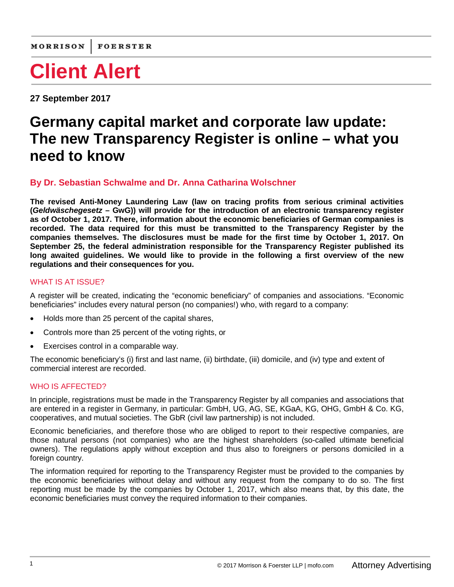**27 September 2017**

# **Germany capital market and corporate law update: The new Transparency Register is online – what you need to know**

## **By Dr. Sebastian [Schwalme](https://www.mofo.com/people/sebastian-schwalme.html) and Dr. Anna Catharina [Wolschner](https://www.mofo.com/people/anna-wolschner.html)**

**The revised Anti-Money Laundering Law (law on tracing profits from serious criminal activities (***Geldwäschegesetz* **– GwG)) will provide for the introduction of an electronic transparency register as of October 1, 2017. There, information about the economic beneficiaries of German companies is recorded. The data required for this must be transmitted to the Transparency Register by the companies themselves. The disclosures must be made for the first time by October 1, 2017. On September 25, the federal administration responsible for the Transparency Register published its long awaited guidelines. We would like to provide in the following a first overview of the new regulations and their consequences for you.**

### WHAT IS AT ISSUE?

A register will be created, indicating the "economic beneficiary" of companies and associations. "Economic beneficiaries" includes every natural person (no companies!) who, with regard to a company:

- Holds more than 25 percent of the capital shares,
- Controls more than 25 percent of the voting rights, or
- Exercises control in a comparable way.

The economic beneficiary's (i) first and last name, (ii) birthdate, (iii) domicile, and (iv) type and extent of commercial interest are recorded.

### WHO IS AFFECTED?

In principle, registrations must be made in the Transparency Register by all companies and associations that are entered in a register in Germany, in particular: GmbH, UG, AG, SE, KGaA, KG, OHG, GmbH & Co. KG, cooperatives, and mutual societies. The GbR (civil law partnership) is not included.

Economic beneficiaries, and therefore those who are obliged to report to their respective companies, are those natural persons (not companies) who are the highest shareholders (so-called ultimate beneficial owners). The regulations apply without exception and thus also to foreigners or persons domiciled in a foreign country.

The information required for reporting to the Transparency Register must be provided to the companies by the economic beneficiaries without delay and without any request from the company to do so. The first reporting must be made by the companies by October 1, 2017, which also means that, by this date, the economic beneficiaries must convey the required information to their companies.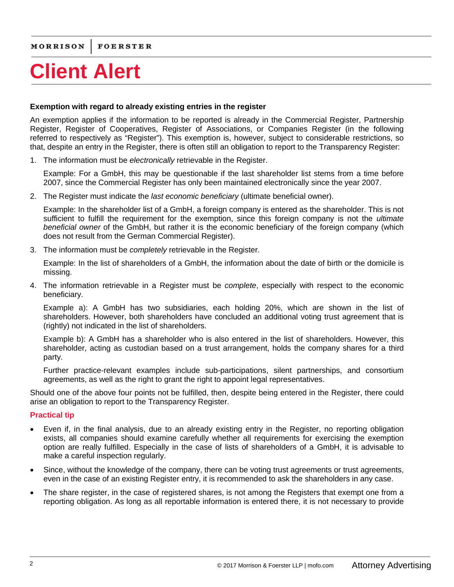#### **Exemption with regard to already existing entries in the register**

An exemption applies if the information to be reported is already in the Commercial Register, Partnership Register, Register of Cooperatives, Register of Associations, or Companies Register (in the following referred to respectively as "Register"). This exemption is, however, subject to considerable restrictions, so that, despite an entry in the Register, there is often still an obligation to report to the Transparency Register:

1. The information must be *electronically* retrievable in the Register.

Example: For a GmbH, this may be questionable if the last shareholder list stems from a time before 2007, since the Commercial Register has only been maintained electronically since the year 2007.

2. The Register must indicate the *last economic beneficiary* (ultimate beneficial owner).

Example: In the shareholder list of a GmbH, a foreign company is entered as the shareholder. This is not sufficient to fulfill the requirement for the exemption, since this foreign company is not the *ultimate beneficial owner* of the GmbH, but rather it is the economic beneficiary of the foreign company (which does not result from the German Commercial Register).

3. The information must be *completely* retrievable in the Register.

Example: In the list of shareholders of a GmbH, the information about the date of birth or the domicile is missing.

4. The information retrievable in a Register must be *complete*, especially with respect to the economic beneficiary.

Example a): A GmbH has two subsidiaries, each holding 20%, which are shown in the list of shareholders. However, both shareholders have concluded an additional voting trust agreement that is (rightly) not indicated in the list of shareholders.

Example b): A GmbH has a shareholder who is also entered in the list of shareholders. However, this shareholder, acting as custodian based on a trust arrangement, holds the company shares for a third party.

Further practice-relevant examples include sub-participations, silent partnerships, and consortium agreements, as well as the right to grant the right to appoint legal representatives.

Should one of the above four points not be fulfilled, then, despite being entered in the Register, there could arise an obligation to report to the Transparency Register.

### **Practical tip**

- Even if, in the final analysis, due to an already existing entry in the Register, no reporting obligation exists, all companies should examine carefully whether all requirements for exercising the exemption option are really fulfilled. Especially in the case of lists of shareholders of a GmbH, it is advisable to make a careful inspection regularly.
- Since, without the knowledge of the company, there can be voting trust agreements or trust agreements, even in the case of an existing Register entry, it is recommended to ask the shareholders in any case.
- The share register, in the case of registered shares, is not among the Registers that exempt one from a reporting obligation. As long as all reportable information is entered there, it is not necessary to provide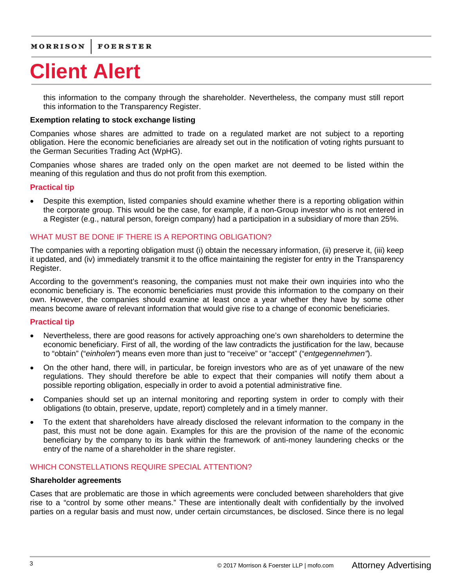this information to the company through the shareholder. Nevertheless, the company must still report this information to the Transparency Register.

#### **Exemption relating to stock exchange listing**

Companies whose shares are admitted to trade on a regulated market are not subject to a reporting obligation. Here the economic beneficiaries are already set out in the notification of voting rights pursuant to the German Securities Trading Act (WpHG).

Companies whose shares are traded only on the open market are not deemed to be listed within the meaning of this regulation and thus do not profit from this exemption.

#### **Practical tip**

• Despite this exemption, listed companies should examine whether there is a reporting obligation within the corporate group. This would be the case, for example, if a non-Group investor who is not entered in a Register (e.g., natural person, foreign company) had a participation in a subsidiary of more than 25%.

#### WHAT MUST BE DONE IF THERE IS A REPORTING OBLIGATION?

The companies with a reporting obligation must (i) obtain the necessary information, (ii) preserve it, (iii) keep it updated, and (iv) immediately transmit it to the office maintaining the register for entry in the Transparency Register.

According to the government's reasoning, the companies must not make their own inquiries into who the economic beneficiary is. The economic beneficiaries must provide this information to the company on their own. However, the companies should examine at least once a year whether they have by some other means become aware of relevant information that would give rise to a change of economic beneficiaries.

#### **Practical tip**

- Nevertheless, there are good reasons for actively approaching one's own shareholders to determine the economic beneficiary. First of all, the wording of the law contradicts the justification for the law, because to "obtain" ("*einholen"*) means even more than just to "receive" or "accept" ("*entgegennehmen"*).
- On the other hand, there will, in particular, be foreign investors who are as of yet unaware of the new regulations. They should therefore be able to expect that their companies will notify them about a possible reporting obligation, especially in order to avoid a potential administrative fine.
- Companies should set up an internal monitoring and reporting system in order to comply with their obligations (to obtain, preserve, update, report) completely and in a timely manner.
- To the extent that shareholders have already disclosed the relevant information to the company in the past, this must not be done again. Examples for this are the provision of the name of the economic beneficiary by the company to its bank within the framework of anti-money laundering checks or the entry of the name of a shareholder in the share register.

#### WHICH CONSTELLATIONS REQUIRE SPECIAL ATTENTION?

#### **Shareholder agreements**

Cases that are problematic are those in which agreements were concluded between shareholders that give rise to a "control by some other means." These are intentionally dealt with confidentially by the involved parties on a regular basis and must now, under certain circumstances, be disclosed. Since there is no legal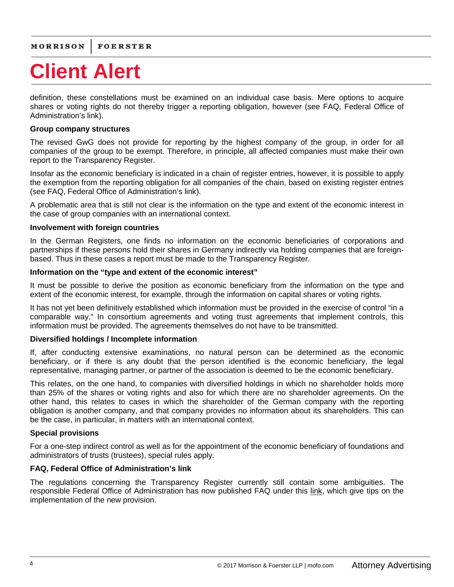definition, these constellations must be examined on an individual case basis. Mere options to acquire shares or voting rights do not thereby trigger a reporting obligation, however (see FAQ, Federal Office of Administration's link).

#### **Group company structures**

The revised GwG does not provide for reporting by the highest company of the group, in order for all companies of the group to be exempt. Therefore, in principle, all affected companies must make their own report to the Transparency Register.

Insofar as the economic beneficiary is indicated in a chain of register entries, however, it is possible to apply the exemption from the reporting obligation for all companies of the chain, based on existing register entries (see FAQ, Federal Office of Administration's link).

A problematic area that is still not clear is the information on the type and extent of the economic interest in the case of group companies with an international context.

#### **Involvement with foreign countries**

In the German Registers, one finds no information on the economic beneficiaries of corporations and partnerships if these persons hold their shares in Germany indirectly via holding companies that are foreignbased. Thus in these cases a report must be made to the Transparency Register.

#### **Information on the "type and extent of the economic interest"**

It must be possible to derive the position as economic beneficiary from the information on the type and extent of the economic interest, for example, through the information on capital shares or voting rights.

It has not yet been definitively established which information must be provided in the exercise of control "in a comparable way." In consortium agreements and voting trust agreements that implement controls, this information must be provided. The agreements themselves do not have to be transmitted.

#### **Diversified holdings / Incomplete information**

If, after conducting extensive examinations, no natural person can be determined as the economic beneficiary, or if there is any doubt that the person identified is the economic beneficiary, the legal representative, managing partner, or partner of the association is deemed to be the economic beneficiary.

This relates, on the one hand, to companies with diversified holdings in which no shareholder holds more than 25% of the shares or voting rights and also for which there are no shareholder agreements. On the other hand, this relates to cases in which the shareholder of the German company with the reporting obligation is another company, and that company provides no information about its shareholders. This can be the case, in particular, in matters with an international context.

#### **Special provisions**

For a one-step indirect control as well as for the appointment of the economic beneficiary of foundations and administrators of trusts (trustees), special rules apply.

#### **FAQ, Federal Office of Administration's link**

The regulations concerning the Transparency Register currently still contain some ambiguities. The responsible Federal Office of Administration has now published FAQ under this [link,](http://www.bva.bund.de/DE/Organisation/Abteilungen/Abteilung_ZMV/Transparenzregister/FAQ/faq_node.html;jsessionid=E3801C991DC8876C831C7347F5138E49.2_cid394) which give tips on the implementation of the new provision.